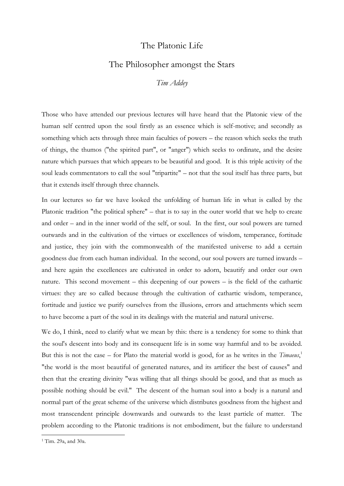## The Platonic Life

## The Philosopher amongst the Stars

*Tim Addey*

Those who have attended our previous lectures will have heard that the Platonic view of the human self centred upon the soul firstly as an essence which is self-motive; and secondly as something which acts through three main faculties of powers – the reason which seeks the truth of things, the thumos ("the spirited part", or "anger") which seeks to ordinate, and the desire nature which pursues that which appears to be beautiful and good. It is this triple activity of the soul leads commentators to call the soul "tripartite" – not that the soul itself has three parts, but that it extends itself through three channels.

In our lectures so far we have looked the unfolding of human life in what is called by the Platonic tradition "the political sphere" – that is to say in the outer world that we help to create and order – and in the inner world of the self, or soul. In the first, our soul powers are turned outwards and in the cultivation of the virtues or excellences of wisdom, temperance, fortitude and justice, they join with the commonwealth of the manifested universe to add a certain goodness due from each human individual. In the second, our soul powers are turned inwards – and here again the excellences are cultivated in order to adorn, beautify and order our own nature. This second movement – this deepening of our powers – is the field of the cathartic virtues: they are so called because through the cultivation of cathartic wisdom, temperance, fortitude and justice we purify ourselves from the illusions, errors and attachments which seem to have become a part of the soul in its dealings with the material and natural universe.

We do, I think, need to clarify what we mean by this: there is a tendency for some to think that the soul's descent into body and its consequent life is in some way harmful and to be avoided. But this is not the case – for Plato the material world is good, for as he writes in the *Timaeus*, 1 "the world is the most beautiful of generated natures, and its artificer the best of causes" and then that the creating divinity "was willing that all things should be good, and that as much as possible nothing should be evil." The descent of the human soul into a body is a natural and normal part of the great scheme of the universe which distributes goodness from the highest and most transcendent principle downwards and outwards to the least particle of matter. The problem according to the Platonic traditions is not embodiment, but the failure to understand

<sup>1</sup> Tim. 29a, and 30a.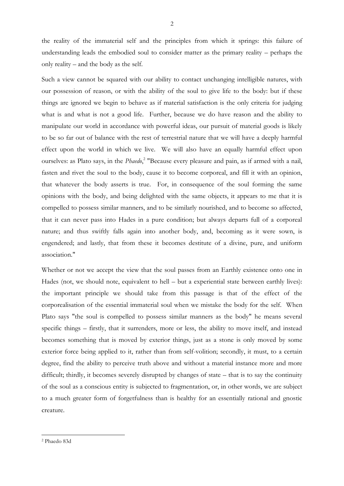the reality of the immaterial self and the principles from which it springs: this failure of understanding leads the embodied soul to consider matter as the primary reality – perhaps the only reality – and the body as the self.

Such a view cannot be squared with our ability to contact unchanging intelligible natures, with our possession of reason, or with the ability of the soul to give life to the body: but if these things are ignored we begin to behave as if material satisfaction is the only criteria for judging what is and what is not a good life. Further, because we do have reason and the ability to manipulate our world in accordance with powerful ideas, our pursuit of material goods is likely to be so far out of balance with the rest of terrestrial nature that we will have a deeply harmful effect upon the world in which we live. We will also have an equally harmful effect upon ourselves: as Plato says, in the *Phaedo*,<sup>2</sup> "Because every pleasure and pain, as if armed with a nail, fasten and rivet the soul to the body, cause it to become corporeal, and fill it with an opinion, that whatever the body asserts is true. For, in consequence of the soul forming the same opinions with the body, and being delighted with the same objects, it appears to me that it is compelled to possess similar manners, and to be similarly nourished, and to become so affected, that it can never pass into Hades in a pure condition; but always departs full of a corporeal nature; and thus swiftly falls again into another body, and, becoming as it were sown, is engendered; and lastly, that from these it becomes destitute of a divine, pure, and uniform association."

Whether or not we accept the view that the soul passes from an Earthly existence onto one in Hades (not, we should note, equivalent to hell – but a experiential state between earthly lives): the important principle we should take from this passage is that of the effect of the corporealisation of the essential immaterial soul when we mistake the body for the self. When Plato says "the soul is compelled to possess similar manners as the body" he means several specific things – firstly, that it surrenders, more or less, the ability to move itself, and instead becomes something that is moved by exterior things, just as a stone is only moved by some exterior force being applied to it, rather than from self-volition; secondly, it must, to a certain degree, find the ability to perceive truth above and without a material instance more and more difficult; thirdly, it becomes severely disrupted by changes of state – that is to say the continuity of the soul as a conscious entity is subjected to fragmentation, or, in other words, we are subject to a much greater form of forgetfulness than is healthy for an essentially rational and gnostic creature.

<sup>2</sup> Phaedo 83d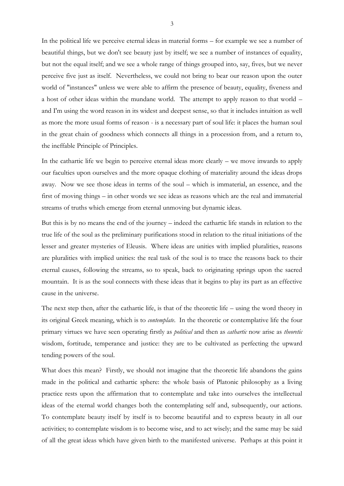In the political life we perceive eternal ideas in material forms – for example we see a number of beautiful things, but we don't see beauty just by itself; we see a number of instances of equality, but not the equal itself; and we see a whole range of things grouped into, say, fives, but we never perceive five just as itself. Nevertheless, we could not bring to bear our reason upon the outer world of "instances" unless we were able to affirm the presence of beauty, equality, fiveness and a host of other ideas within the mundane world. The attempt to apply reason to that world – and I'm using the word reason in its widest and deepest sense, so that it includes intuition as well as more the more usual forms of reason - is a necessary part of soul life: it places the human soul in the great chain of goodness which connects all things in a procession from, and a return to, the ineffable Principle of Principles.

In the cathartic life we begin to perceive eternal ideas more clearly – we move inwards to apply our faculties upon ourselves and the more opaque clothing of materiality around the ideas drops away. Now we see those ideas in terms of the soul – which is immaterial, an essence, and the first of moving things – in other words we see ideas as reasons which are the real and immaterial streams of truths which emerge from eternal unmoving but dynamic ideas.

But this is by no means the end of the journey – indeed the cathartic life stands in relation to the true life of the soul as the preliminary purifications stood in relation to the ritual initiations of the lesser and greater mysteries of Eleusis. Where ideas are unities with implied pluralities, reasons are pluralities with implied unities: the real task of the soul is to trace the reasons back to their eternal causes, following the streams, so to speak, back to originating springs upon the sacred mountain. It is as the soul connects with these ideas that it begins to play its part as an effective cause in the universe.

The next step then, after the cathartic life, is that of the theoretic life – using the word theory in its original Greek meaning, which is to *contemplate*. In the theoretic or contemplative life the four primary virtues we have seen operating firstly as *political* and then as *cathartic* now arise as *theoretic* wisdom, fortitude, temperance and justice: they are to be cultivated as perfecting the upward tending powers of the soul.

What does this mean? Firstly, we should not imagine that the theoretic life abandons the gains made in the political and cathartic sphere: the whole basis of Platonic philosophy as a living practice rests upon the affirmation that to contemplate and take into ourselves the intellectual ideas of the eternal world changes both the contemplating self and, subsequently, our actions. To contemplate beauty itself by itself is to become beautiful and to express beauty in all our activities; to contemplate wisdom is to become wise, and to act wisely; and the same may be said of all the great ideas which have given birth to the manifested universe. Perhaps at this point it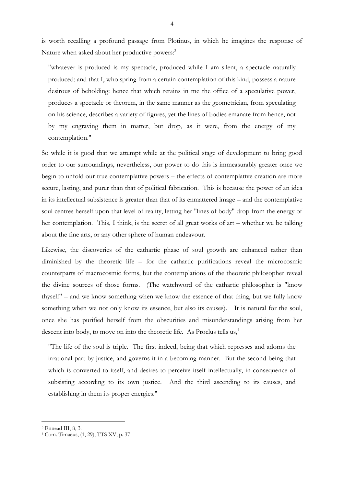is worth recalling a profound passage from Plotinus, in which he imagines the response of Nature when asked about her productive powers:<sup>3</sup>

"whatever is produced is my spectacle, produced while I am silent, a spectacle naturally produced; and that I, who spring from a certain contemplation of this kind, possess a nature desirous of beholding: hence that which retains in me the office of a speculative power, produces a spectacle or theorem, in the same manner as the geometrician, from speculating on his science, describes a variety of figures, yet the lines of bodies emanate from hence, not by my engraving them in matter, but drop, as it were, from the energy of my contemplation."

So while it is good that we attempt while at the political stage of development to bring good order to our surroundings, nevertheless, our power to do this is immeasurably greater once we begin to unfold our true contemplative powers – the effects of contemplative creation are more secure, lasting, and purer than that of political fabrication. This is because the power of an idea in its intellectual subsistence is greater than that of its enmattered image – and the contemplative soul centres herself upon that level of reality, letting her "lines of body" drop from the energy of her contemplation. This, I think, is the secret of all great works of art – whether we be talking about the fine arts, or any other sphere of human endeavour.

Likewise, the discoveries of the cathartic phase of soul growth are enhanced rather than diminished by the theoretic life – for the cathartic purifications reveal the microcosmic counterparts of macrocosmic forms, but the contemplations of the theoretic philosopher reveal the divine sources of those forms. (The watchword of the cathartic philosopher is "know thyself" – and we know something when we know the essence of that thing, but we fully know something when we not only know its essence, but also its causes). It is natural for the soul, once she has purified herself from the obscurities and misunderstandings arising from her descent into body, to move on into the theoretic life. As Proclus tells us,<sup>4</sup>

"The life of the soul is triple. The first indeed, being that which represses and adorns the irrational part by justice, and governs it in a becoming manner. But the second being that which is converted to itself, and desires to perceive itself intellectually, in consequence of subsisting according to its own justice. And the third ascending to its causes, and establishing in them its proper energies."

<sup>3</sup> Ennead III, 8, 3.

<sup>4</sup> Com. Timaeus, (1, 29), TTS XV, p. 37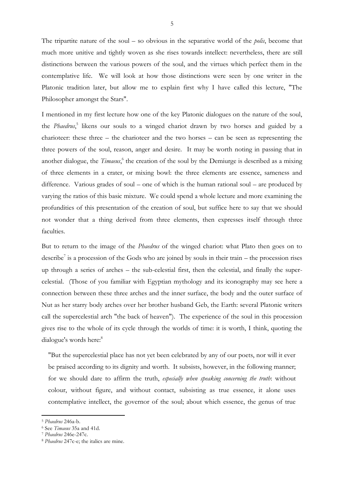The tripartite nature of the soul – so obvious in the separative world of the *polis*, become that much more unitive and tightly woven as she rises towards intellect: nevertheless, there are still distinctions between the various powers of the soul, and the virtues which perfect them in the contemplative life. We will look at how those distinctions were seen by one writer in the Platonic tradition later, but allow me to explain first why I have called this lecture, "The Philosopher amongst the Stars".

I mentioned in my first lecture how one of the key Platonic dialogues on the nature of the soul, the *Phaedrus*, 5 likens our souls to a winged chariot drawn by two horses and guided by a charioteer: these three – the charioteer and the two horses – can be seen as representing the three powers of the soul, reason, anger and desire. It may be worth noting in passing that in another dialogue, the *Timaeus*,<sup>6</sup> the creation of the soul by the Demiurge is described as a mixing of three elements in a crater, or mixing bowl: the three elements are essence, sameness and difference. Various grades of soul – one of which is the human rational soul – are produced by varying the ratios of this basic mixture. We could spend a whole lecture and more examining the profundities of this presentation of the creation of soul, but suffice here to say that we should not wonder that a thing derived from three elements, then expresses itself through three faculties.

But to return to the image of the *Phaedrus* of the winged chariot: what Plato then goes on to describe<sup>7</sup> is a procession of the Gods who are joined by souls in their train – the procession rises up through a series of arches – the sub-celestial first, then the celestial, and finally the supercelestial. (Those of you familiar with Egyptian mythology and its iconography may see here a connection between these three arches and the inner surface, the body and the outer surface of Nut as her starry body arches over her brother husband Geb, the Earth: several Platonic writers call the supercelestial arch "the back of heaven"). The experience of the soul in this procession gives rise to the whole of its cycle through the worlds of time: it is worth, I think, quoting the dialogue's words here:<sup>8</sup>

"But the supercelestial place has not yet been celebrated by any of our poets, nor will it ever be praised according to its dignity and worth. It subsists, however, in the following manner; for we should dare to affirm the truth, *especially when speaking concerning the truth*: without colour, without figure, and without contact, subsisting as true essence, it alone uses contemplative intellect, the governor of the soul; about which essence, the genus of true

<sup>5</sup> *Phaedrus* 246a-b.

<sup>6</sup> See *Timaeus* 35a and 41d.

<sup>7</sup> *Phaedrus* 246e-247c.

<sup>8</sup> *Phaedrus* 247c-e; the italics are mine.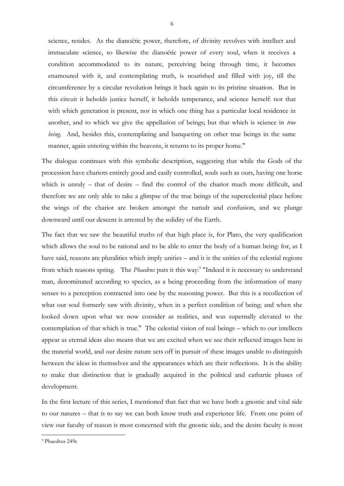science, resides. As the dianoëtic power, therefore, of divinity revolves with intellect and immaculate science, so likewise the dianoëtic power of every soul, when it receives a condition accommodated to its nature, perceiving being through time, it becomes enamoured with it, and contemplating truth, is nourished and filled with joy, till the circumference by a circular revolution brings it back again to its pristine situation. But in this circuit it beholds justice herself, it beholds temperance, and science herself: not that with which generation is present, nor in which one thing has a particular local residence in another, and to which we give the appellation of beings; but that which is science in *true being.* And, besides this, contemplating and banqueting on other true beings in the same manner, again entering within the heavens, it returns to its proper home."

The dialogue continues with this symbolic description, suggesting that while the Gods of the procession have chariots entirely good and easily controlled, souls such as ours, having one horse which is unruly – that of desire – find the control of the chariot much more difficult, and therefore we are only able to take a glimpse of the true beings of the supercelestial place before the wings of the chariot are broken amongst the tumult and confusion, and we plunge downward until our descent is arrested by the solidity of the Earth.

The fact that we saw the beautiful truths of that high place is, for Plato, the very qualification which allows the soul to be rational and to be able to enter the body of a human being: for, as I have said, reasons are pluralities which imply unities – and it is the unities of the celestial regions from which reasons spring. The *Phaedrus* puts it this way:<sup>9</sup> "Indeed it is necessary to understand man, denominated according to species, as a being proceeding from the information of many senses to a perception contracted into one by the reasoning power. But this is a recollection of what our soul formerly saw with divinity, when in a perfect condition of being; and when she looked down upon what we now consider as realities, and was supernally elevated to the contemplation of that which is true." The celestial vision of real beings – which to our intellects appear as eternal ideas also means that we are excited when we see their reflected images here in the material world, and our desire nature sets off in pursuit of these images unable to distinguish between the ideas in themselves and the appearances which are their reflections. It is the ability to make that distinction that is gradually acquired in the political and cathartic phases of development.

In the first lecture of this series, I mentioned that fact that we have both a gnostic and vital side to our natures – that is to say we can both know truth and experience life. From one point of view our faculty of reason is most concerned with the gnostic side, and the desire faculty is most

<sup>9</sup> Phaedrus 249c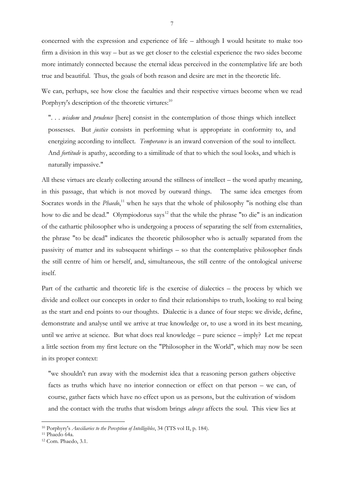concerned with the expression and experience of life – although I would hesitate to make too firm a division in this way – but as we get closer to the celestial experience the two sides become more intimately connected because the eternal ideas perceived in the contemplative life are both true and beautiful. Thus, the goals of both reason and desire are met in the theoretic life.

We can, perhaps, see how close the faculties and their respective virtues become when we read Porphyry's description of the theoretic virtures: $10$ 

". . . *wisdom* and *prudence* [here] consist in the contemplation of those things which intellect possesses. But *justice* consists in performing what is appropriate in conformity to, and energizing according to intellect. *Temperance* is an inward conversion of the soul to intellect. And *fortitude* is apathy, according to a similitude of that to which the soul looks, and which is naturally impassive."

All these virtues are clearly collecting around the stillness of intellect – the word apathy meaning, in this passage, that which is not moved by outward things. The same idea emerges from Socrates words in the *Phaedo*,<sup>11</sup> when he says that the whole of philosophy "is nothing else than how to die and be dead." Olympiodorus says<sup>12</sup> that the while the phrase "to die" is an indication of the cathartic philosopher who is undergoing a process of separating the self from externalities, the phrase "to be dead" indicates the theoretic philosopher who is actually separated from the passivity of matter and its subsequent whirlings – so that the contemplative philosopher finds the still centre of him or herself, and, simultaneous, the still centre of the ontological universe itself.

Part of the cathartic and theoretic life is the exercise of dialectics – the process by which we divide and collect our concepts in order to find their relationships to truth, looking to real being as the start and end points to our thoughts. Dialectic is a dance of four steps: we divide, define, demonstrate and analyse until we arrive at true knowledge or, to use a word in its best meaning, until we arrive at science. But what does real knowledge – pure science – imply? Let me repeat a little section from my first lecture on the "Philosopher in the World", which may now be seen in its proper context:

"we shouldn't run away with the modernist idea that a reasoning person gathers objective facts as truths which have no interior connection or effect on that person – we can, of course, gather facts which have no effect upon us as persons, but the cultivation of wisdom and the contact with the truths that wisdom brings *always* affects the soul. This view lies at

<sup>10</sup> Porphyry's *Auxiliaries to the Perception of Intelligibles*, 34 (TTS vol II, p. 184).

<sup>11</sup> Phaedo 64a.

<sup>12</sup> Com. Phaedo, 3.1.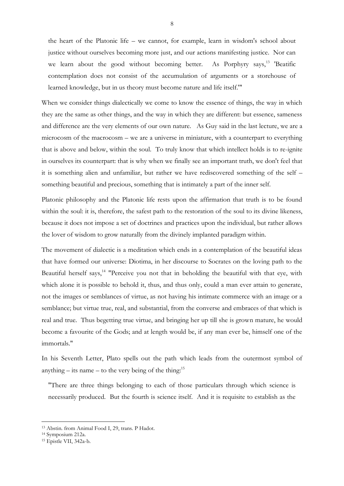the heart of the Platonic life – we cannot, for example, learn in wisdom's school about justice without ourselves becoming more just, and our actions manifesting justice. Nor can we learn about the good without becoming better. As Porphyry says,<sup>13</sup> 'Beatific contemplation does not consist of the accumulation of arguments or a storehouse of learned knowledge, but in us theory must become nature and life itself.'"

When we consider things dialectically we come to know the essence of things, the way in which they are the same as other things, and the way in which they are different: but essence, sameness and difference are the very elements of our own nature. As Guy said in the last lecture, we are a microcosm of the macrocosm – we are a universe in miniature, with a counterpart to everything that is above and below, within the soul. To truly know that which intellect holds is to re-ignite in ourselves its counterpart: that is why when we finally see an important truth, we don't feel that it is something alien and unfamiliar, but rather we have rediscovered something of the self – something beautiful and precious, something that is intimately a part of the inner self.

Platonic philosophy and the Platonic life rests upon the affirmation that truth is to be found within the soul: it is, therefore, the safest path to the restoration of the soul to its divine likeness, because it does not impose a set of doctrines and practices upon the individual, but rather allows the lover of wisdom to grow naturally from the divinely implanted paradigm within.

The movement of dialectic is a meditation which ends in a contemplation of the beautiful ideas that have formed our universe: Diotima, in her discourse to Socrates on the loving path to the Beautiful herself says, $14$  "Perceive you not that in beholding the beautiful with that eye, with which alone it is possible to behold it, thus, and thus only, could a man ever attain to generate, not the images or semblances of virtue, as not having his intimate commerce with an image or a semblance; but virtue true, real, and substantial, from the converse and embraces of that which is real and true. Thus begetting true virtue, and bringing her up till she is grown mature, he would become a favourite of the Gods; and at length would be, if any man ever be, himself one of the immortals."

In his Seventh Letter, Plato spells out the path which leads from the outermost symbol of anything – its name – to the very being of the thing:<sup>15</sup>

"There are three things belonging to each of those particulars through which science is necessarily produced. But the fourth is science itself. And it is requisite to establish as the

<sup>13</sup> Abstin. from Animal Food I, 29, trans. P Hadot.

<sup>14</sup> Symposium 212a.

<sup>15</sup> Epistle VII, 342a-b.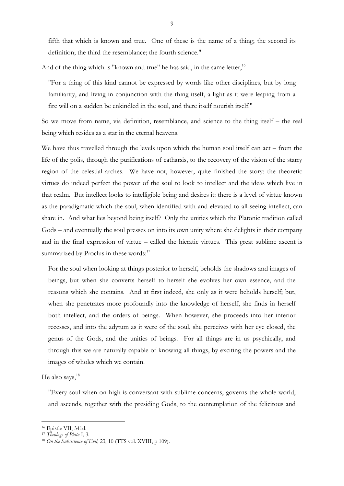fifth that which is known and true. One of these is the name of a thing; the second its definition; the third the resemblance; the fourth science."

And of the thing which is "known and true" he has said, in the same letter,<sup>16</sup>

"For a thing of this kind cannot be expressed by words like other disciplines, but by long familiarity, and living in conjunction with the thing itself, a light as it were leaping from a fire will on a sudden be enkindled in the soul, and there itself nourish itself."

So we move from name, via definition, resemblance, and science to the thing itself – the real being which resides as a star in the eternal heavens.

We have thus travelled through the levels upon which the human soul itself can act – from the life of the polis, through the purifications of catharsis, to the recovery of the vision of the starry region of the celestial arches. We have not, however, quite finished the story: the theoretic virtues do indeed perfect the power of the soul to look to intellect and the ideas which live in that realm. But intellect looks to intelligible being and desires it: there is a level of virtue known as the paradigmatic which the soul, when identified with and elevated to all-seeing intellect, can share in. And what lies beyond being itself? Only the unities which the Platonic tradition called Gods – and eventually the soul presses on into its own unity where she delights in their company and in the final expression of virtue – called the hieratic virtues. This great sublime ascent is summarized by Proclus in these words:<sup>17</sup>

For the soul when looking at things posterior to herself, beholds the shadows and images of beings, but when she converts herself to herself she evolves her own essence, and the reasons which she contains. And at first indeed, she only as it were beholds herself; but, when she penetrates more profoundly into the knowledge of herself, she finds in herself both intellect, and the orders of beings. When however, she proceeds into her interior recesses, and into the adytum as it were of the soul, she perceives with her eye closed, the genus of the Gods, and the unities of beings. For all things are in us psychically, and through this we are naturally capable of knowing all things, by exciting the powers and the images of wholes which we contain.

He also says.<sup>18</sup>

"Every soul when on high is conversant with sublime concerns, governs the whole world, and ascends, together with the presiding Gods, to the contemplation of the felicitous and

<sup>16</sup> Epistle VII, 341d.

<sup>17</sup> *Theology of Plato* I, 3.

<sup>18</sup> *On the Subsistence of Evil*, 23, 10 (TTS vol. XVIII, p 109).